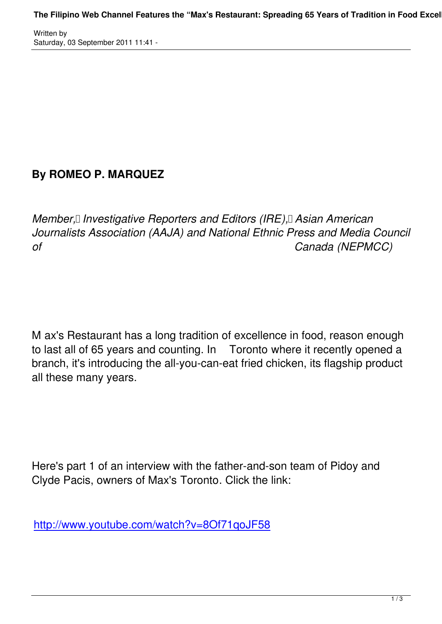Written by

## **By ROMEO P. MARQUEZ**

*Member, II Investigative Reporters and Editors (IRE), Asian American Journalists Association (AAJA) and National Ethnic Press and Media Council of Canada (NEPMCC)*

M ax's Restaurant has a long tradition of excellence in food, reason enough to last all of 65 years and counting. In Toronto where it recently opened a branch, it's introducing the all-you-can-eat fried chicken, its flagship product all these many years.

Here's part 1 of an interview with the father-and-son team of Pidoy and Clyde Pacis, owners of Max's Toronto. Click the link:

http://www.youtube.com/watch?v=8Of71qoJF58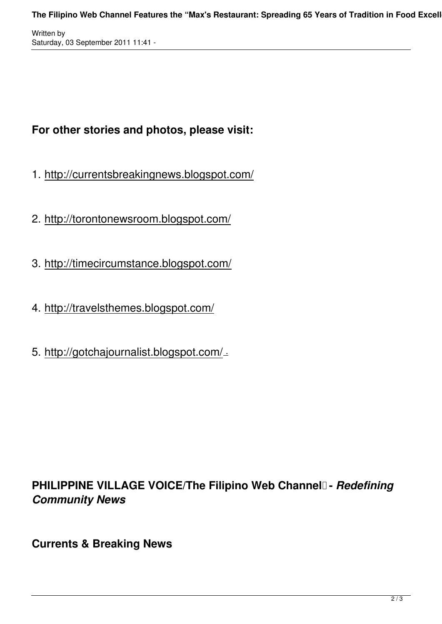Written by Saturday, 03 September 2011 11:41 -

## **For other stories and photos, please visit:**

- 1. http://currentsbreakingnews.blogspot.com/
- 2. http://torontonewsroom.blogspot.com/
- 3. http://timecircumstance.blogspot.com/
- 4. http://travelsthemes.blogspot.com/
- 5. http://gotchajournalist.blogspot.com/ .

## **PHILIPPINE VILLAGE VOICE/The Filipino Web Channel - Redefining** *Community News*

**Currents & Breaking News**